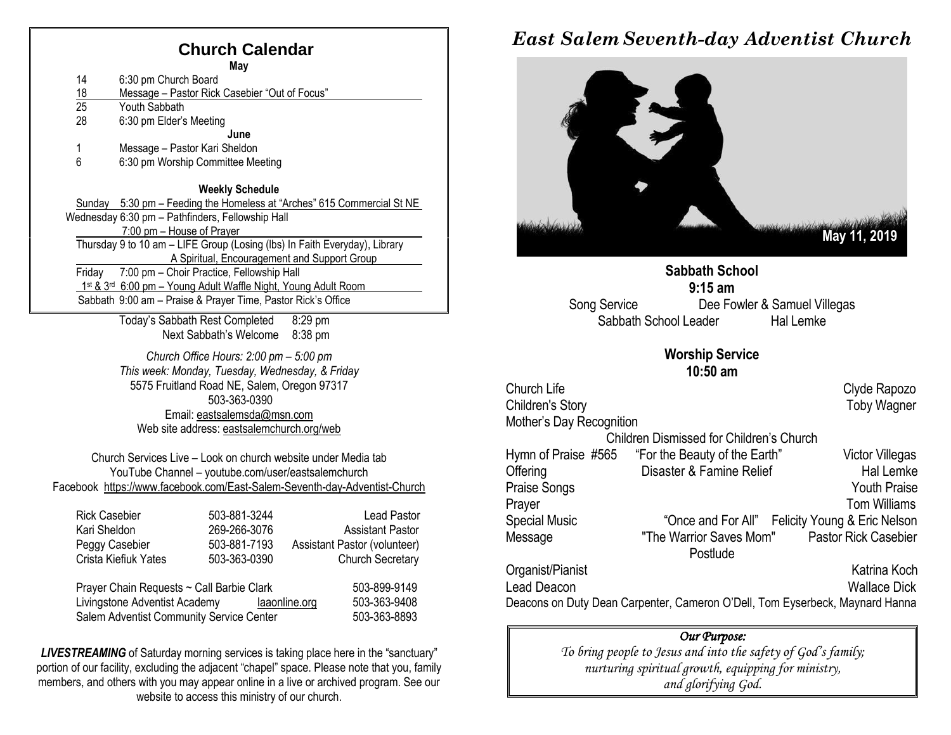## **Church Calendar**

**May** 14 6:30 pm Church Board 18 Message – Pastor Rick Casebier "Out of Focus"<br>25 Youth Sabbath Youth Sabbath 28 6:30 pm Elder's Meeting **June** 1 Message – Pastor Kari Sheldon 6 6:30 pm Worship Committee Meeting **Weekly Schedule** Sunday 5:30 pm – Feeding the Homeless at "Arches" 615 Commercial St NE Wednesday 6:30 pm – Pathfinders, Fellowship Hall 7:00 pm – House of Prayer Thursday 9 to 10 am – LIFE Group (Losing (lbs) In Faith Everyday), Library A Spiritual, Encouragement and Support Group Friday 7:00 pm – Choir Practice, Fellowship Hall 1st & 3<sup>rd</sup> 6:00 pm - Young Adult Waffle Night, Young Adult Room Sabbath 9:00 am – Praise & Prayer Time, Pastor Rick's Office

> Today's Sabbath Rest Completed 8:29 pm Next Sabbath's Welcome 8:38 pm

*Church Office Hours: 2:00 pm – 5:00 pm This week: Monday, Tuesday, Wednesday, & Friday* 5575 Fruitland Road NE, Salem, Oregon 97317 503-363-0390 Email: [eastsalemsda@msn.com](mailto:eastsalemsda@msn.com) Web site address[: eastsalemchurch.org/w](http://eastsalem.adventists.info/)eb

Church Services Live – Look on church website under Media tab YouTube Channel – youtube.com/user/eastsalemchurch Facebook [https://www.facebook.com/East-Salem-Seventh-day-Adventist-Church](https://www.facebook.com/East-Salem-Seventh-day-Adventist-Church-111402832212994/?fref=ts)

| <b>Rick Casebier</b>                      | 503-881-3244 | Lead Pastor                  |
|-------------------------------------------|--------------|------------------------------|
| Kari Sheldon                              | 269-266-3076 | <b>Assistant Pastor</b>      |
| Peggy Casebier                            | 503-881-7193 | Assistant Pastor (volunteer) |
| Crista Kiefiuk Yates                      | 503-363-0390 | <b>Church Secretary</b>      |
| Prayer Chain Requests ~ Call Barbie Clark |              | 503-899-9149                 |

Livingstone Adventist Academy [laaonline.org](http://www.laa.info/) 503-363-9408 Salem Adventist Community Service Center 503-363-8893

**LIVESTREAMING** of Saturday morning services is taking place here in the "sanctuary" portion of our facility, excluding the adjacent "chapel" space. Please note that you, family members, and others with you may appear online in a live or archived program. See our website to access this ministry of our church.

## *East Salem Seventh-day Adventist Church*



**Sabbath School 9:15 am** Song Service Dee Fowler & Samuel Villegas Sabbath School Leader Hal Lemke

#### **Worship Service 10:50 am**

Church Life Church Alternative Church Alternative Church Alternative Church Alternative Church Alternative Church Alternative Church Alternative Church Alternative Church Alternative Church Alternative Church Alternative C Children's Story **Toby Wagner** Mother's Day Recognition Children Dismissed for Children's Church Hymn of Praise #565 "For the Beauty of the Earth" Victor Villegas Offering **Disaster & Famine Relief** Hal Lemke Praise Songs **Youth Praise** Prayer Tom Williams Special Music "Once and For All" Felicity Young & Eric Nelson Message "The Warrior Saves Mom" Pastor Rick Casebier Postlude Organist/Pianist Katrina Koch Lead Deacon Wallace Dick Deacons on Duty Dean Carpenter, Cameron O'Dell, Tom Eyserbeck, Maynard Hanna

#### *Our Purpose:*

*To bring people to Jesus and into the safety of God's family; nurturing spiritual growth, equipping for ministry, and glorifying God.*